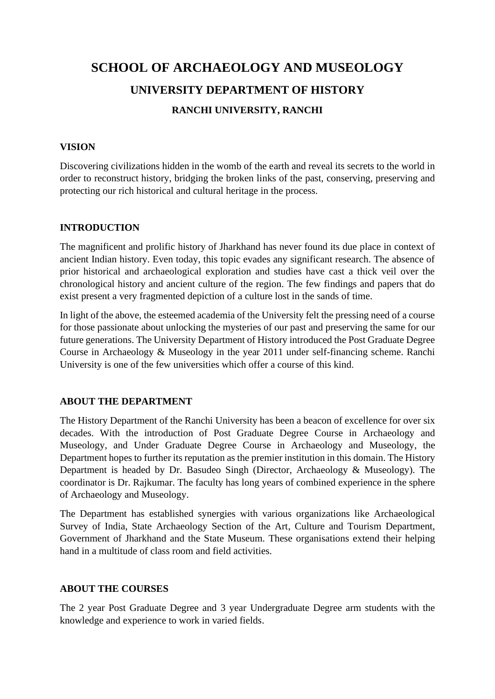# **SCHOOL OF ARCHAEOLOGY AND MUSEOLOGY UNIVERSITY DEPARTMENT OF HISTORY RANCHI UNIVERSITY, RANCHI**

# **VISION**

Discovering civilizations hidden in the womb of the earth and reveal its secrets to the world in order to reconstruct history, bridging the broken links of the past, conserving, preserving and protecting our rich historical and cultural heritage in the process.

## **INTRODUCTION**

The magnificent and prolific history of Jharkhand has never found its due place in context of ancient Indian history. Even today, this topic evades any significant research. The absence of prior historical and archaeological exploration and studies have cast a thick veil over the chronological history and ancient culture of the region. The few findings and papers that do exist present a very fragmented depiction of a culture lost in the sands of time.

In light of the above, the esteemed academia of the University felt the pressing need of a course for those passionate about unlocking the mysteries of our past and preserving the same for our future generations. The University Department of History introduced the Post Graduate Degree Course in Archaeology & Museology in the year 2011 under self-financing scheme. Ranchi University is one of the few universities which offer a course of this kind.

#### **ABOUT THE DEPARTMENT**

The History Department of the Ranchi University has been a beacon of excellence for over six decades. With the introduction of Post Graduate Degree Course in Archaeology and Museology, and Under Graduate Degree Course in Archaeology and Museology, the Department hopes to further its reputation as the premier institution in this domain. The History Department is headed by Dr. Basudeo Singh (Director, Archaeology & Museology). The coordinator is Dr. Rajkumar. The faculty has long years of combined experience in the sphere of Archaeology and Museology.

The Department has established synergies with various organizations like Archaeological Survey of India, State Archaeology Section of the Art, Culture and Tourism Department, Government of Jharkhand and the State Museum. These organisations extend their helping hand in a multitude of class room and field activities.

#### **ABOUT THE COURSES**

The 2 year Post Graduate Degree and 3 year Undergraduate Degree arm students with the knowledge and experience to work in varied fields.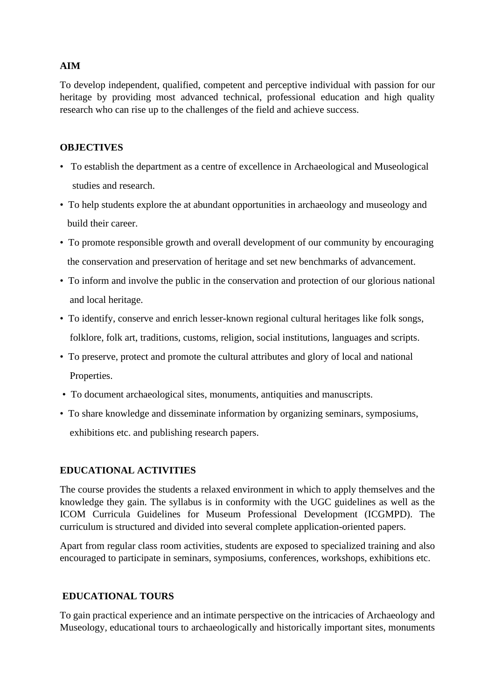# **AIM**

To develop independent, qualified, competent and perceptive individual with passion for our heritage by providing most advanced technical, professional education and high quality research who can rise up to the challenges of the field and achieve success.

# **OBJECTIVES**

- To establish the department as a centre of excellence in Archaeological and Museological studies and research.
- To help students explore the at abundant opportunities in archaeology and museology and build their career.
- To promote responsible growth and overall development of our community by encouraging the conservation and preservation of heritage and set new benchmarks of advancement.
- To inform and involve the public in the conservation and protection of our glorious national and local heritage.
- To identify, conserve and enrich lesser-known regional cultural heritages like folk songs, folklore, folk art, traditions, customs, religion, social institutions, languages and scripts.
- To preserve, protect and promote the cultural attributes and glory of local and national Properties.
- To document archaeological sites, monuments, antiquities and manuscripts.
- To share knowledge and disseminate information by organizing seminars, symposiums, exhibitions etc. and publishing research papers.

# **EDUCATIONAL ACTIVITIES**

The course provides the students a relaxed environment in which to apply themselves and the knowledge they gain. The syllabus is in conformity with the UGC guidelines as well as the ICOM Curricula Guidelines for Museum Professional Development (ICGMPD). The curriculum is structured and divided into several complete application-oriented papers.

Apart from regular class room activities, students are exposed to specialized training and also encouraged to participate in seminars, symposiums, conferences, workshops, exhibitions etc.

# **EDUCATIONAL TOURS**

To gain practical experience and an intimate perspective on the intricacies of Archaeology and Museology, educational tours to archaeologically and historically important sites, monuments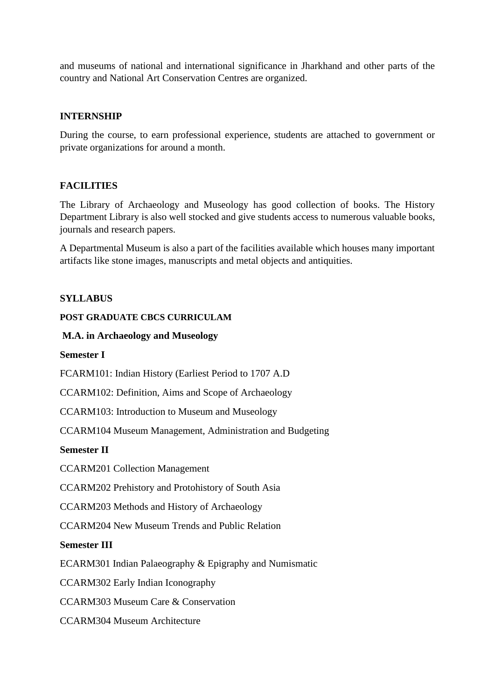and museums of national and international significance in Jharkhand and other parts of the country and National Art Conservation Centres are organized.

## **INTERNSHIP**

During the course, to earn professional experience, students are attached to government or private organizations for around a month.

## **FACILITIES**

The Library of Archaeology and Museology has good collection of books. The History Department Library is also well stocked and give students access to numerous valuable books, journals and research papers.

A Departmental Museum is also a part of the facilities available which houses many important artifacts like stone images, manuscripts and metal objects and antiquities.

## **SYLLABUS**

#### **POST GRADUATE CBCS CURRICULAM**

#### **M.A. in Archaeology and Museology**

**Semester I**

FCARM101: Indian History (Earliest Period to 1707 A.D

CCARM102: Definition, Aims and Scope of Archaeology

CCARM103: Introduction to Museum and Museology

CCARM104 Museum Management, Administration and Budgeting

## **Semester II**

CCARM201 Collection Management

CCARM202 Prehistory and Protohistory of South Asia

CCARM203 Methods and History of Archaeology

CCARM204 New Museum Trends and Public Relation

## **Semester III**

ECARM301 Indian Palaeography & Epigraphy and Numismatic

CCARM302 Early Indian Iconography

CCARM303 Museum Care & Conservation

CCARM304 Museum Architecture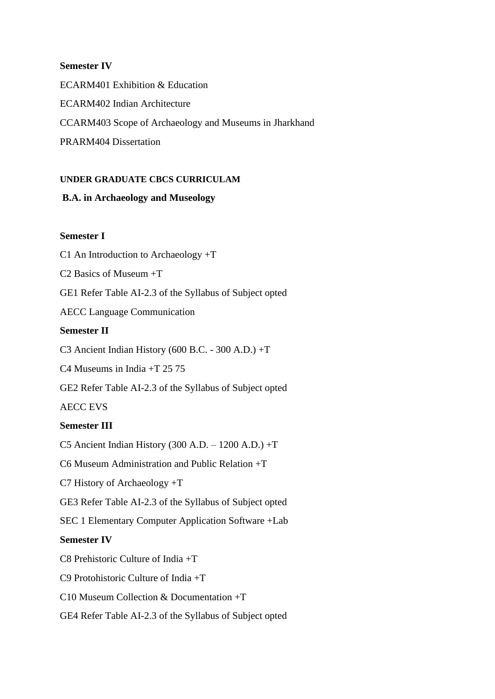#### **Semester IV**

ECARM401 Exhibition & Education ECARM402 Indian Architecture CCARM403 Scope of Archaeology and Museums in Jharkhand PRARM404 Dissertation

#### **UNDER GRADUATE CBCS CURRICULAM**

#### **B.A. in Archaeology and Museology**

#### **Semester I**

C1 An Introduction to Archaeology +T

C2 Basics of Museum +T

GE1 Refer Table AI-2.3 of the Syllabus of Subject opted

AECC Language Communication

#### **Semester II**

C3 Ancient Indian History (600 B.C. - 300 A.D.) +T

C4 Museums in India +T 25 75

GE2 Refer Table AI-2.3 of the Syllabus of Subject opted

AECC EVS

#### **Semester III**

C5 Ancient Indian History (300 A.D. – 1200 A.D.) +T

C6 Museum Administration and Public Relation +T

C7 History of Archaeology +T

GE3 Refer Table AI-2.3 of the Syllabus of Subject opted

SEC 1 Elementary Computer Application Software +Lab

## **Semester IV**

C8 Prehistoric Culture of India +T

C9 Protohistoric Culture of India +T

C10 Museum Collection & Documentation +T

GE4 Refer Table AI-2.3 of the Syllabus of Subject opted